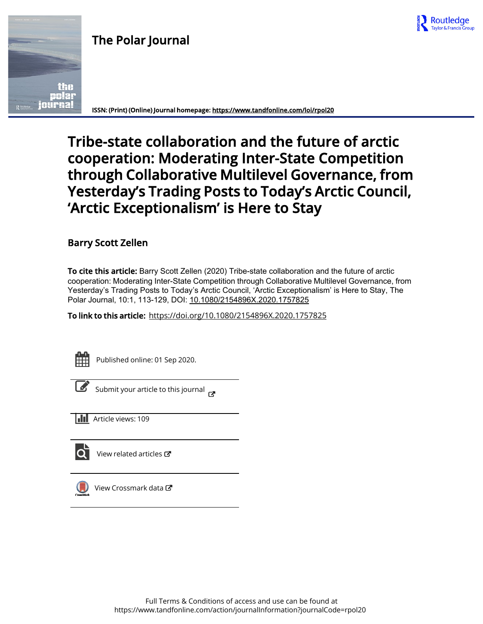

# **The Polar Journal**

**ISSN: (Print) (Online) Journal homepage:<https://www.tandfonline.com/loi/rpol20>** 

# **Tribe-state collaboration and the future of arctic cooperation: Moderating Inter-State Competition through Collaborative Multilevel Governance, from Yesterday's Trading Posts to Today's Arctic Council, 'Arctic Exceptionalism' is Here to Stay**

Routledge Taylor & Francis Group

# **Barry Scott Zellen**

**To cite this article:** Barry Scott Zellen (2020) Tribe-state collaboration and the future of arctic cooperation: Moderating Inter-State Competition through Collaborative Multilevel Governance, from Yesterday's Trading Posts to Today's Arctic Council, 'Arctic Exceptionalism' is Here to Stay, The Polar Journal, 10:1, 113-129, DOI: 10.1080/2154896X.2020.1757825

**To link to this article:** <https://doi.org/10.1080/2154896X.2020.1757825>

Published online: 01 Sep 2020.

Submit your article to this journal

Article views: 109



View related articles



View Crossmark data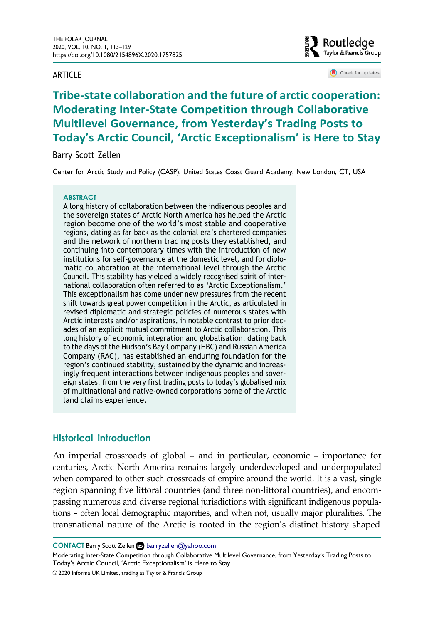#### **ARTICLE**



Check for updates

# **Tribe‐state collaboration and the future of arctic cooperation: Moderating Inter‐State Competition through Collaborative Multilevel Governance, from Yesterday's Trading Posts to Today's Arctic Council, 'Arctic Exceptionalism' is Here to Stay**

#### Barry Scott Zellen

Center for Arctic Study and Policy (CASP), United States Coast Guard Academy, New London, CT, USA

#### **ABSTRACT**

 matic collaboration at the international level through the Arctic revised diplomatic and strategic policies of numerous states with A long history of collaboration between the indigenous peoples and the sovereign states of Arctic North America has helped the Arctic region become one of the world's most stable and cooperative regions, dating as far back as the colonial era's chartered companies and the network of northern trading posts they established, and continuing into contemporary times with the introduction of new institutions for self-governance at the domestic level, and for diplo-Council. This stability has yielded a widely recognised spirit of international collaboration often referred to as 'Arctic Exceptionalism.' This exceptionalism has come under new pressures from the recent shift towards great power competition in the Arctic, as articulated in Arctic interests and/or aspirations, in notable contrast to prior decades of an explicit mutual commitment to Arctic collaboration. This long history of economic integration and globalisation, dating back to the days of the Hudson's Bay Company (HBC) and Russian America Company (RAC), has established an enduring foundation for the region's continued stability, sustained by the dynamic and increasingly frequent interactions between indigenous peoples and sovereign states, from the very first trading posts to today's globalised mix of multinational and native-owned corporations borne of the Arctic land claims experience.

## **Historical introduction**

 passing numerous and diverse regional jurisdictions with significant indigenous popula-An imperial crossroads of global – and in particular, economic – importance for centuries, Arctic North America remains largely underdeveloped and underpopulated when compared to other such crossroads of empire around the world. It is a vast, single region spanning five littoral countries (and three non-littoral countries), and encomtions – often local demographic majorities, and when not, usually major pluralities. The transnational nature of the Arctic is rooted in the region's distinct history shaped

**CONTACT Barry Scott Zellen a barryzellen@yahoo.com** 

Moderating Inter-State Competition through Collaborative Multilevel Governance, from Yesterday's Trading Posts to Today's Arctic Council, 'Arctic Exceptionalism' is Here to Stay

© 2020 Informa UK Limited, trading as Taylor & Francis Group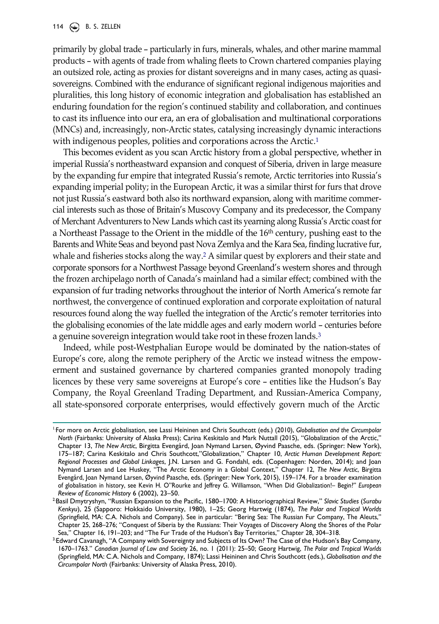primarily by global trade – particularly in furs, minerals, whales, and other marine mammal products – with agents of trade from whaling fleets to Crown chartered companies playing an outsized role, acting as proxies for distant sovereigns and in many cases, acting as quasisovereigns. Combined with the endurance of significant regional indigenous majorities and pluralities, this long history of economic integration and globalisation has established an enduring foundation for the region's continued stability and collaboration, and continues to cast its influence into our era, an era of globalisation and multinational corporations (MNCs) and, increasingly, non-Arctic states, catalysing increasingly dynamic interactions with indigenous peoples, polities and corporations across the Arctic.<sup>1</sup>

 This becomes evident as you scan Arctic history from a global perspective, whether in expanding imperial polity; in the European Arctic, it was a similar thirst for furs that drove not just Russia's eastward both also its northward expansion, along with maritime commer- cial interests such as those of Britain's Muscovy Company and its predecessor, the Company resources found along the way fuelled the integration of the Arctic's remoter territories into the globalising economies of the late middle ages and early modern world – centuries before imperial Russia's northeastward expansion and conquest of Siberia, driven in large measure by the expanding fur empire that integrated Russia's remote, Arctic territories into Russia's of Merchant Adventurers to New Lands which cast its yearning along Russia's Arctic coast for a Northeast Passage to the Orient in the middle of the 16<sup>th</sup> century, pushing east to the Barents and White Seas and beyond past Nova Zemlya and the Kara Sea, finding lucrative fur, whale and fisheries stocks along the way.2 A similar quest by explorers and their state and corporate sponsors for a Northwest Passage beyond Greenland's western shores and through the frozen archipelago north of Canada's mainland had a similar effect; combined with the expansion of fur trading networks throughout the interior of North America's remote far northwest, the convergence of continued exploration and corporate exploitation of natural a genuine sovereign integration would take root in these frozen lands.<sup>3</sup>

Indeed, while post-Westphalian Europe would be dominated by the nation-states of Europe's core, along the remote periphery of the Arctic we instead witness the empowerment and sustained governance by chartered companies granted monopoly trading licences by these very same sovereigns at Europe's core – entities like the Hudson's Bay Company, the Royal Greenland Trading Department, and Russian-America Company, all state-sponsored corporate enterprises, would effectively govern much of the Arctic

 *North* (Fairbanks: University of Alaska Press); Carina Keskitalo and Mark Nuttall (2015), "Globalization of the Arctic," 1.For more on Arctic globalisation, see Lassi Heininen and Chris Southcott (eds.) (2010), *Globalisation and the Circumpolar*  Chapter 13, *The New Arctic*, Birgitta Evengård, Joan Nymand Larsen, Øyvind Paasche, eds. (Springer: New York), 175–187; Carina Keskitalo and Chris Southcott,"Globalization," Chapter 10, *Arctic Human Development Report: Regional Processes and Global Linkages*, J.N. Larsen and G. Fondahl, eds. (Copenhagen: Norden, 2014); and Joan Nymand Larsen and Lee Huskey, "The Arctic Economy in a Global Context," Chapter 12, *The New Arctic*, Birgitta Evengård, Joan Nymand Larsen, Øyvind Paasche, eds. (Springer: New York, 2015), 159–174. For a broader examination of globalisation in history, see Kevin H. O"Rourke and Jeffrey G. Williamson, "When Did Globalization!– Begin?" *European Review of Economic History* 6 (2002), 23–50. 2.Basil Dmytryshyn, "Russian Expansion to the Pacific, 1580–1700: A Historiographical Review," *Slavic Studies* (*Surabu* 

*Kenkyu*), 25 (Sapporo: Hokkaido University, 1980), 1–25; Georg Hartwig (1874), *The Polar and Tropical Worlds*  (Springfield, MA: C.A. Nichols and Company). See in particular: "Bering Sea: The Russian Fur Company, The Aleuts," Chapter 25, 268–276; "Conquest of Siberia by the Russians: Their Voyages of Discovery Along the Shores of the Polar<br>Sea," Chapter 16, 191–203; and "The Fur Trade of the Hudson's Bay Territories," Chapter 28, 304–318.

 *Circumpolar North* (Fairbanks: University of Alaska Press, 2010). <sup>3</sup> Edward Cavanagh, "A Company with Sovereignty and Subjects of Its Own? The Case of the Hudson's Bay Company, 1670–1763." *Canadian Journal of Law and Society* 26, no. 1 (2011): 25–50; Georg Hartwig, *The Polar and Tropical Worlds*  (Springfield, MA: C.A. Nichols and Company, 1874); Lassi Heininen and Chris Southcott (eds.), *Globalisation and the*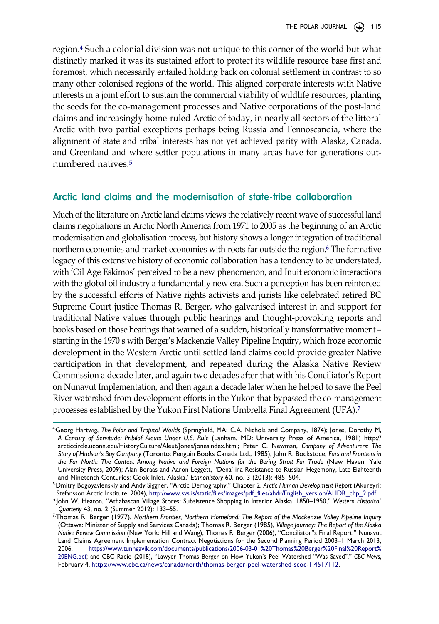region.4 Such a colonial division was not unique to this corner of the world but what distinctly marked it was its sustained effort to protect its wildlife resource base first and foremost, which necessarily entailed holding back on colonial settlement in contrast to so many other colonised regions of the world. This aligned corporate interests with Native interests in a joint effort to sustain the commercial viability of wildlife resources, planting the seeds for the co-management processes and Native corporations of the post-land claims and increasingly home-ruled Arctic of today, in nearly all sectors of the littoral Arctic with two partial exceptions perhaps being Russia and Fennoscandia, where the alignment of state and tribal interests has not yet achieved parity with Alaska, Canada, and Greenland and where settler populations in many areas have for generations outnumbered natives.5

## **Arctic land claims and the modernisation of state-tribe collaboration**

 Much of the literature on Arctic land claims views the relatively recent wave of successful land by the successful efforts of Native rights activists and jurists like celebrated retired BC on Nunavut Implementation, and then again a decade later when he helped to save the Peel River watershed from development efforts in the Yukon that bypassed the co-management claims negotiations in Arctic North America from 1971 to 2005 as the beginning of an Arctic modernisation and globalisation process, but history shows a longer integration of traditional northern economies and market economies with roots far outside the region.<sup>6</sup> The formative legacy of this extensive history of economic collaboration has a tendency to be understated, with 'Oil Age Eskimos' perceived to be a new phenomenon, and Inuit economic interactions with the global oil industry a fundamentally new era. Such a perception has been reinforced Supreme Court justice Thomas R. Berger, who galvanised interest in and support for traditional Native values through public hearings and thought-provoking reports and books based on those hearings that warned of a sudden, historically transformative moment – starting in the 1970 s with Berger's Mackenzie Valley Pipeline Inquiry, which froze economic development in the Western Arctic until settled land claims could provide greater Native participation in that development, and repeated during the Alaska Native Review Commission a decade later, and again two decades after that with his Conciliator's Report processes established by the Yukon First Nations Umbrella Final Agreement (UFA).7

 [arcticcircle.uconn.edu/HistoryCulture/Aleut/Jones/jonesindex.html](https://arcticcircle.uconn.edu/HistoryCulture/Aleut/Jones/jonesindex.html); Peter C. Newman, *Company of Adventurers: The*  4.Georg Hartwig, *The Polar and Tropical Worlds* (Springfield, MA: C.A. Nichols and Company, 1874); Jones, Dorothy M, *A Century of Servitude: Pribilof Aleuts Under U.S. Rule* (Lanham, MD: University Press of America, 1981) http:// *Story of Hudson's Bay Company* (Toronto: Penguin Books Canada Ltd., 1985); John R. Bockstoce, *Furs and Frontiers in*  the Far North: The Contest Among Native and Foreign Nations for the Bering Strait Fur Trade (New Haven: Yale University Press, 2009); Alan Boraas and Aaron Leggett, "Dena' ina Resistance to Russian Hegemony, Late Eighteenth

and Ninetenth Centuries: Cook Inlet, Alaska,' *Ethnohistory* 60, no. 3 (2013): 485–504.<br><sup>5</sup>Dmitry Bogoyavlenskiy and Andy Siggner, "Arctic Demography," Chapter 2, *Arctic Human Development Report (*Akureyri: Stefansson Arctic Institute, 2004), [http://www.svs.is/static/files/images/pdf\\_files/ahdr/English\\_version/AHDR\\_chp\\_2.pdf.](http://www.svs.is/static/files/images/pdf_files/ahdr/English_version/AHDR_chp_2.pdf)<br>
<sup>6</sup>John W. Heaton, "Athabascan Village Stores: Subsistence Shopping in Interior Alaska, 1850–1950,"

 *Native Review Commission* (New York: Hill and Wang); Thomas R. Berger (2006), "Conciliator"s Final Report," Nunavut <sup>7</sup>Thomas R. Berger (1977), Northern Frontier, Northern Homeland: The Report of the Mackenzie Valley Pipeline Inquiry (Ottawa: Minister of Supply and Services Canada); Thomas R. Berger (1985), *Village Journey: The Report of the Alaska*  Land Claims Agreement Implementation Contract Negotiations for the Second Planning Period 2003–1 March 2013, 2006, [https://www.tunngavik.com/documents/publications/2006-03-01%20Thomas%20Berger%20Final%20Report%](https://www.tunngavik.com/documents/publications/2006-03-01%20Thomas%20Berger%20Final%20Report) 20ENG.pdf; and CBC Radio (2018), "Lawyer Thomas Berger on How Yukon's Peel Watershed "Was Saved"," *CBC News*, February 4, [https://www.cbc.ca/news/canada/north/thomas-berger-peel-watershed-scoc-1.4517112.](https://www.cbc.ca/news/canada/north/thomas-berger-peel-watershed-scoc-1.4517112)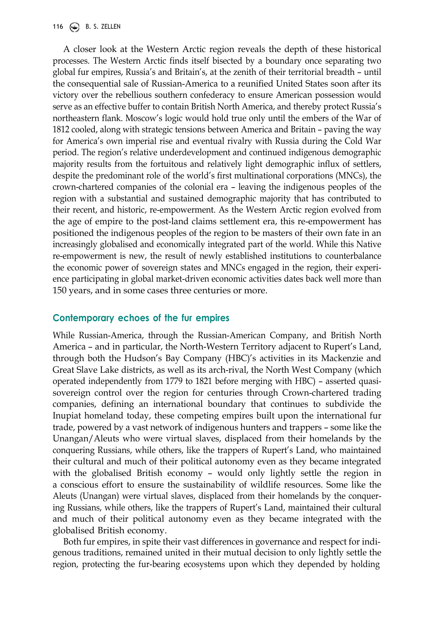#### 116  $\bigodot$  B. S. ZELLEN

A closer look at the Western Arctic region reveals the depth of these historical processes. The Western Arctic finds itself bisected by a boundary once separating two global fur empires, Russia's and Britain's, at the zenith of their territorial breadth – until the consequential sale of Russian-America to a reunified United States soon after its victory over the rebellious southern confederacy to ensure American possession would serve as an effective buffer to contain British North America, and thereby protect Russia's northeastern flank. Moscow's logic would hold true only until the embers of the War of 1812 cooled, along with strategic tensions between America and Britain – paving the way for America's own imperial rise and eventual rivalry with Russia during the Cold War period. The region's relative underdevelopment and continued indigenous demographic majority results from the fortuitous and relatively light demographic influx of settlers, despite the predominant role of the world's first multinational corporations (MNCs), the crown-chartered companies of the colonial era – leaving the indigenous peoples of the region with a substantial and sustained demographic majority that has contributed to their recent, and historic, re-empowerment. As the Western Arctic region evolved from the age of empire to the post-land claims settlement era, this re-empowerment has positioned the indigenous peoples of the region to be masters of their own fate in an increasingly globalised and economically integrated part of the world. While this Native re-empowerment is new, the result of newly established institutions to counterbalance the economic power of sovereign states and MNCs engaged in the region, their experience participating in global market-driven economic activities dates back well more than 150 years, and in some cases three centuries or more.

#### **Contemporary echoes of the fur empires**

 with the globalised British economy – would only lightly settle the region in While Russian-America, through the Russian-American Company, and British North America – and in particular, the North-Western Territory adjacent to Rupert's Land, through both the Hudson's Bay Company (HBC)'s activities in its Mackenzie and Great Slave Lake districts, as well as its arch-rival, the North West Company (which operated independently from 1779 to 1821 before merging with HBC) – asserted quasisovereign control over the region for centuries through Crown-chartered trading companies, defining an international boundary that continues to subdivide the Inupiat homeland today, these competing empires built upon the international fur trade, powered by a vast network of indigenous hunters and trappers – some like the Unangan/Aleuts who were virtual slaves, displaced from their homelands by the conquering Russians, while others, like the trappers of Rupert's Land, who maintained their cultural and much of their political autonomy even as they became integrated a conscious effort to ensure the sustainability of wildlife resources. Some like the Aleuts (Unangan) were virtual slaves, displaced from their homelands by the conquering Russians, while others, like the trappers of Rupert's Land, maintained their cultural and much of their political autonomy even as they became integrated with the globalised British economy.

Both fur empires, in spite their vast differences in governance and respect for indigenous traditions, remained united in their mutual decision to only lightly settle the region, protecting the fur-bearing ecosystems upon which they depended by holding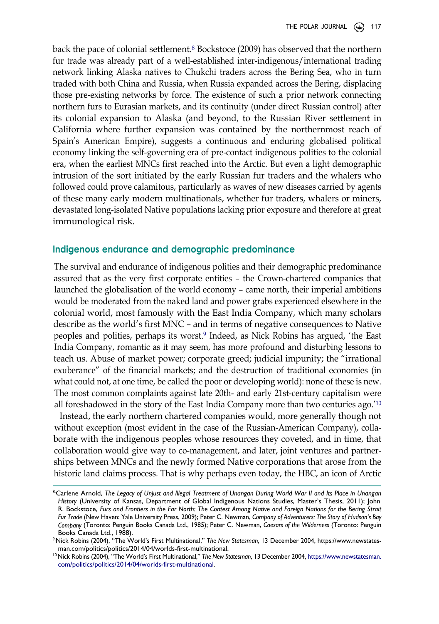back the pace of colonial settlement.8 Bockstoce (2009) has observed that the northern fur trade was already part of a well-established inter-indigenous/international trading network linking Alaska natives to Chukchi traders across the Bering Sea, who in turn traded with both China and Russia, when Russia expanded across the Bering, displacing those pre-existing networks by force. The existence of such a prior network connecting northern furs to Eurasian markets, and its continuity (under direct Russian control) after its colonial expansion to Alaska (and beyond, to the Russian River settlement in California where further expansion was contained by the northernmost reach of Spain's American Empire), suggests a continuous and enduring globalised political economy linking the self-governing era of pre-contact indigenous polities to the colonial era, when the earliest MNCs first reached into the Arctic. But even a light demographic intrusion of the sort initiated by the early Russian fur traders and the whalers who followed could prove calamitous, particularly as waves of new diseases carried by agents of these many early modern multinationals, whether fur traders, whalers or miners, devastated long-isolated Native populations lacking prior exposure and therefore at great immunological risk.

#### **Indigenous endurance and demographic predominance**

 peoples and polities, perhaps its worst.9 Indeed, as Nick Robins has argued, 'the East what could not, at one time, be called the poor or developing world): none of these is new. The survival and endurance of indigenous polities and their demographic predominance assured that as the very first corporate entities – the Crown-chartered companies that launched the globalisation of the world economy – came north, their imperial ambitions would be moderated from the naked land and power grabs experienced elsewhere in the colonial world, most famously with the East India Company, which many scholars describe as the world's first MNC – and in terms of negative consequences to Native India Company, romantic as it may seem, has more profound and disturbing lessons to teach us. Abuse of market power; corporate greed; judicial impunity; the "irrational exuberance" of the financial markets; and the destruction of traditional economies (in The most common complaints against late 20th- and early 21st-century capitalism were all foreshadowed in the story of the East India Company more than two centuries ago.'10

Instead, the early northern chartered companies would, more generally though not without exception (most evident in the case of the Russian-American Company), collaborate with the indigenous peoples whose resources they coveted, and in time, that collaboration would give way to co-management, and later, joint ventures and partnerships between MNCs and the newly formed Native corporations that arose from the historic land claims process. That is why perhaps even today, the HBC, an icon of Arctic

 *Fur Trade* (New Haven: Yale University Press, 2009); Peter C. Newman, *Company of Adventurers: The Story of Hudson's Bay*  Books Canada Ltd., 1988).<br><sup>9</sup>Nick Robins (2004), "The World's First Multinational," *The New Statesman*, 13 December 2004, <https://www.newstates>-8.Carlene Arnold, *The Legacy of Unjust and Illegal Treatment of Unangan During World War II and Its Place in Unangan History* (University of Kansas, Department of Global Indigenous Nations Studies, Master's Thesis, 2011); John R. Bockstoce, *Furs and Frontiers in the Far North: The Contest Among Native and Foreign Nations for the Bering Strait Company* (Toronto: Penguin Books Canada Ltd., 1985); Peter C. Newman, *Caesars of the Wilderness* (Toronto: Penguin

 [man.com/politics/politics/2014/04/worlds-first-multinational](https://man.com/politics/politics/2014/04/worlds-first-multinational). 10.Nick Robins (2004), "The World's First Multinational," *The New Statesman*, 13 December 2004, [https://www.newstatesman.](https://www.newstatesman) com/politics/politics/2014/04/worlds-first-multinational.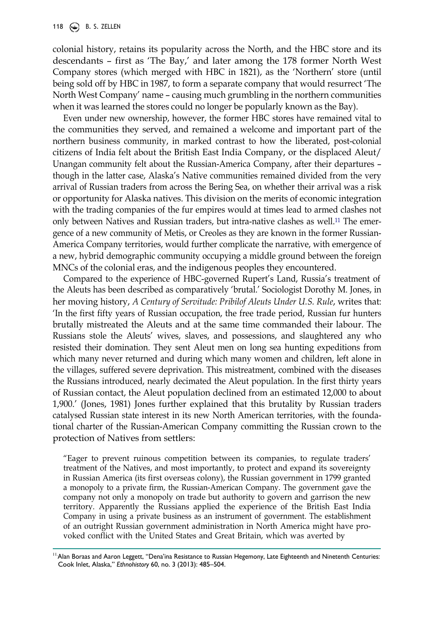being sold off by HBC in 1987, to form a separate company that would resurrect 'The colonial history, retains its popularity across the North, and the HBC store and its descendants – first as 'The Bay,' and later among the 178 former North West Company stores (which merged with HBC in 1821), as the 'Northern' store (until North West Company' name – causing much grumbling in the northern communities when it was learned the stores could no longer be popularly known as the Bay).

Even under new ownership, however, the former HBC stores have remained vital to the communities they served, and remained a welcome and important part of the northern business community, in marked contrast to how the liberated, post-colonial citizens of India felt about the British East India Company, or the displaced Aleut/ Unangan community felt about the Russian-America Company, after their departures – though in the latter case, Alaska's Native communities remained divided from the very arrival of Russian traders from across the Bering Sea, on whether their arrival was a risk or opportunity for Alaska natives. This division on the merits of economic integration with the trading companies of the fur empires would at times lead to armed clashes not only between Natives and Russian traders, but intra-native clashes as well.11 The emergence of a new community of Metis, or Creoles as they are known in the former Russian-America Company territories, would further complicate the narrative, with emergence of a new, hybrid demographic community occupying a middle ground between the foreign MNCs of the colonial eras, and the indigenous peoples they encountered.

 her moving history, *A Century of Servitude: Pribilof Aleuts Under U.S. Rule*, writes that: Compared to the experience of HBC-governed Rupert's Land, Russia's treatment of the Aleuts has been described as comparatively 'brutal.' Sociologist Dorothy M. Jones, in 'In the first fifty years of Russian occupation, the free trade period, Russian fur hunters brutally mistreated the Aleuts and at the same time commanded their labour. The Russians stole the Aleuts' wives, slaves, and possessions, and slaughtered any who resisted their domination. They sent Aleut men on long sea hunting expeditions from which many never returned and during which many women and children, left alone in the villages, suffered severe deprivation. This mistreatment, combined with the diseases the Russians introduced, nearly decimated the Aleut population. In the first thirty years of Russian contact, the Aleut population declined from an estimated 12,000 to about 1,900.' (Jones, 1981) Jones further explained that this brutality by Russian traders catalysed Russian state interest in its new North American territories, with the foundational charter of the Russian-American Company committing the Russian crown to the protection of Natives from settlers:

 "Eager to prevent ruinous competition between its companies, to regulate traders' treatment of the Natives, and most importantly, to protect and expand its sovereignty in Russian America (its first overseas colony), the Russian government in 1799 granted a monopoly to a private firm, the Russian-American Company. The government gave the company not only a monopoly on trade but authority to govern and garrison the new territory. Apparently the Russians applied the experience of the British East India Company in using a private business as an instrument of government. The establishment of an outright Russian government administration in North America might have provoked conflict with the United States and Great Britain, which was averted by

<sup>&</sup>lt;sup>11.</sup> Alan Boraas and Aaron Leggett, "Dena'ina Resistance to Russian Hegemony, Late Eighteenth and Ninetenth Centuries: Cook Inlet, Alaska," *Ethnohistory* 60, no. 3 (2013): 485–504.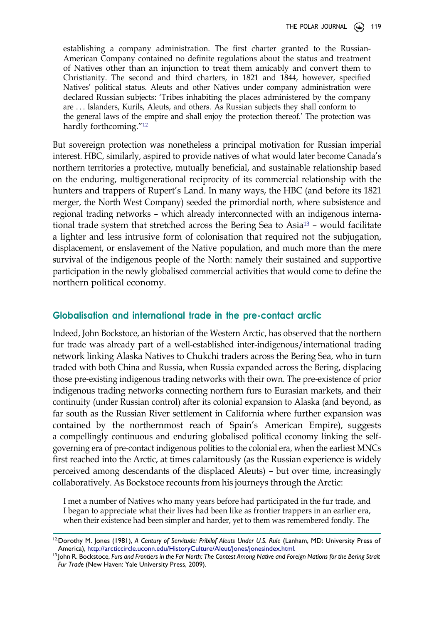establishing a company administration. The first charter granted to the Russian-American Company contained no definite regulations about the status and treatment of Natives other than an injunction to treat them amicably and convert them to Christianity. The second and third charters, in 1821 and 1844, however, specified Natives' political status. Aleuts and other Natives under company administration were declared Russian subjects: 'Tribes inhabiting the places administered by the company are . . . Islanders, Kurils, Aleuts, and others. As Russian subjects they shall conform to the general laws of the empire and shall enjoy the protection thereof.' The protection was hardly forthcoming."12

But sovereign protection was nonetheless a principal motivation for Russian imperial interest. HBC, similarly, aspired to provide natives of what would later become Canada's northern territories a protective, mutually beneficial, and sustainable relationship based on the enduring, multigenerational reciprocity of its commercial relationship with the hunters and trappers of Rupert's Land. In many ways, the HBC (and before its 1821 merger, the North West Company) seeded the primordial north, where subsistence and regional trading networks – which already interconnected with an indigenous international trade system that stretched across the Bering Sea to Asia<sup>13</sup> - would facilitate a lighter and less intrusive form of colonisation that required not the subjugation, displacement, or enslavement of the Native population, and much more than the mere survival of the indigenous people of the North: namely their sustained and supportive participation in the newly globalised commercial activities that would come to define the northern political economy.

#### **Globalisation and international trade in the pre-contact arctic**

 those pre-existing indigenous trading networks with their own. The pre-existence of prior contained by the northernmost reach of Spain's American Empire), suggests governing era of pre-contact indigenous polities to the colonial era, when the earliest MNCs first reached into the Arctic, at times calamitously (as the Russian experience is widely Indeed, John Bockstoce, an historian of the Western Arctic, has observed that the northern fur trade was already part of a well-established inter-indigenous/international trading network linking Alaska Natives to Chukchi traders across the Bering Sea, who in turn traded with both China and Russia, when Russia expanded across the Bering, displacing indigenous trading networks connecting northern furs to Eurasian markets, and their continuity (under Russian control) after its colonial expansion to Alaska (and beyond, as far south as the Russian River settlement in California where further expansion was a compellingly continuous and enduring globalised political economy linking the selfperceived among descendants of the displaced Aleuts) – but over time, increasingly collaboratively. As Bockstoce recounts from his journeys through the Arctic:

 I began to appreciate what their lives had been like as frontier trappers in an earlier era, I met a number of Natives who many years before had participated in the fur trade, and when their existence had been simpler and harder, yet to them was remembered fondly. The

<sup>&</sup>lt;sup>12</sup>Dorothy M. Jones (1981), A Century of Servitude: Pribilof Aleuts Under U.S. Rule (Lanham, MD: University Press of America),<http://arcticcircle.uconn.edu/HistoryCulture/Aleut/Jones/jonesindex.html>. 13.John R. Bockstoce, *Furs and Frontiers in the Far North: The Contest Among Native and Foreign Nations for the Bering Strait* 

*Fur Trade* (New Haven: Yale University Press, 2009).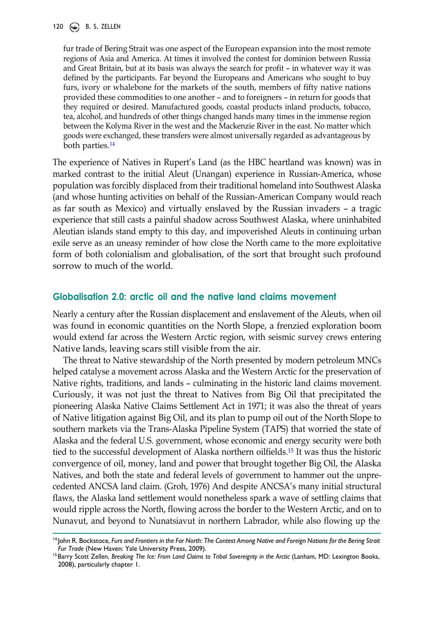#### 120  $\leftarrow$  B. S. ZELLEN

 regions of Asia and America. At times it involved the contest for dominion between Russia fur trade of Bering Strait was one aspect of the European expansion into the most remote and Great Britain, but at its basis was always the search for profit – in whatever way it was defined by the participants. Far beyond the Europeans and Americans who sought to buy furs, ivory or whalebone for the markets of the south, members of fifty native nations provided these commodities to one another – and to foreigners – in return for goods that they required or desired. Manufactured goods, coastal products inland products, tobacco, tea, alcohol, and hundreds of other things changed hands many times in the immense region between the Kolyma River in the west and the Mackenzie River in the east. No matter which goods were exchanged, these transfers were almost universally regarded as advantageous by both parties.<sup>14</sup>

The experience of Natives in Rupert's Land (as the HBC heartland was known) was in marked contrast to the initial Aleut (Unangan) experience in Russian-America, whose population was forcibly displaced from their traditional homeland into Southwest Alaska (and whose hunting activities on behalf of the Russian-American Company would reach as far south as Mexico) and virtually enslaved by the Russian invaders – a tragic experience that still casts a painful shadow across Southwest Alaska, where uninhabited Aleutian islands stand empty to this day, and impoverished Aleuts in continuing urban exile serve as an uneasy reminder of how close the North came to the more exploitative form of both colonialism and globalisation, of the sort that brought such profound sorrow to much of the world.

#### **Globalisation 2.0: arctic oil and the native land claims movement**

Nearly a century after the Russian displacement and enslavement of the Aleuts, when oil was found in economic quantities on the North Slope, a frenzied exploration boom would extend far across the Western Arctic region, with seismic survey crews entering Native lands, leaving scars still visible from the air.

The threat to Native stewardship of the North presented by modern petroleum MNCs helped catalyse a movement across Alaska and the Western Arctic for the preservation of Native rights, traditions, and lands – culminating in the historic land claims movement. Curiously, it was not just the threat to Natives from Big Oil that precipitated the pioneering Alaska Native Claims Settlement Act in 1971; it was also the threat of years of Native litigation against Big Oil, and its plan to pump oil out of the North Slope to southern markets via the Trans-Alaska Pipeline System (TAPS) that worried the state of Alaska and the federal U.S. government, whose economic and energy security were both tied to the successful development of Alaska northern [oilfields.15](https://oilfields.15) It was thus the historic convergence of oil, money, land and power that brought together Big Oil, the Alaska Natives, and both the state and federal levels of government to hammer out the unprecedented ANCSA land claim. (Groh, 1976) And despite ANCSA's many initial structural flaws, the Alaska land settlement would nonetheless spark a wave of settling claims that would ripple across the North, flowing across the border to the Western Arctic, and on to Nunavut, and beyond to Nunatsiavut in northern Labrador, while also flowing up the

 *Fur Trade* (New Haven: Yale University Press, 2009). 15.Barry Scott Zellen, *Breaking The Ice: From Land Claims to Tribal Sovereignty in the Arctic* (Lanham, MD: Lexington Books, <sup>14</sup>John R. Bockstoce, *Furs and Frontiers in the Far North: The Contest Among Native and Foreign Nations for the Bering Strait* 

<sup>2008),</sup> particularly chapter 1.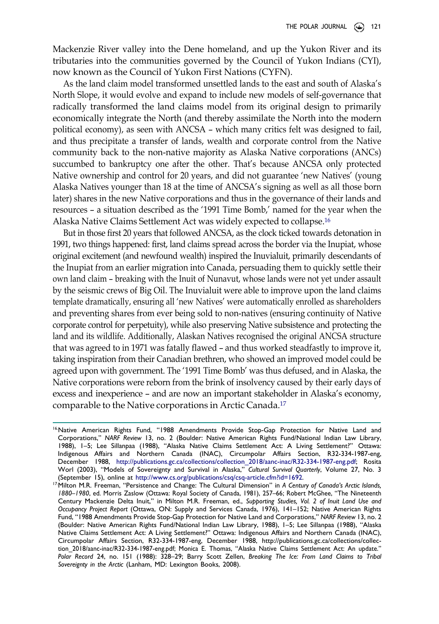Mackenzie River valley into the Dene homeland, and up the Yukon River and its tributaries into the communities governed by the Council of Yukon Indians (CYI), now known as the Council of Yukon First Nations (CYFN).

 later) shares in the new Native corporations and thus in the governance of their lands and As the land claim model transformed unsettled lands to the east and south of Alaska's North Slope, it would evolve and expand to include new models of self-governance that radically transformed the land claims model from its original design to primarily economically integrate the North (and thereby assimilate the North into the modern political economy), as seen with ANCSA – which many critics felt was designed to fail, and thus precipitate a transfer of lands, wealth and corporate control from the Native community back to the non-native majority as Alaska Native corporations (ANCs) succumbed to bankruptcy one after the other. That's because ANCSA only protected Native ownership and control for 20 years, and did not guarantee 'new Natives' (young Alaska Natives younger than 18 at the time of ANCSA's signing as well as all those born resources – a situation described as the '1991 Time Bomb,' named for the year when the Alaska Native Claims Settlement Act was widely expected to [collapse.16](https://collapse.16) 

 taking inspiration from their Canadian brethren, who showed an improved model could be agreed upon with government. The '1991 Time Bomb' was thus defused, and in Alaska, the excess and inexperience – and are now an important stakeholder in Alaska's economy, But in those first 20 years that followed ANCSA, as the clock ticked towards detonation in 1991, two things happened: first, land claims spread across the border via the Inupiat, whose original excitement (and newfound wealth) inspired the Inuvialuit, primarily descendants of the Inupiat from an earlier migration into Canada, persuading them to quickly settle their own land claim – breaking with the Inuit of Nunavut, whose lands were not yet under assault by the seismic crews of Big Oil. The Inuvialuit were able to improve upon the land claims template dramatically, ensuring all 'new Natives' were automatically enrolled as shareholders and preventing shares from ever being sold to non-natives (ensuring continuity of Native corporate control for perpetuity), while also preserving Native subsistence and protecting the land and its wildlife. Additionally, Alaskan Natives recognised the original ANCSA structure that was agreed to in 1971 was fatally flawed – and thus worked steadfastly to improve it, Native corporations were reborn from the brink of insolvency caused by their early days of comparable to the Native corporations in Arctic [Canada.17](https://Canada.17)

<sup>&</sup>lt;sup>16</sup> Native American Rights Fund, "1988 Amendments Provide Stop-Gap Protection for Native Land and Corporations," *NARF Review* 13, no. 2 (Boulder: Native American Rights Fund/National Indian Law Library, 1988), 1–5; Lee Sillanpaa (1988), "Alaska Native Claims Settlement Act: A Living Settlement?" Ottawa: Indigenous Affairs and Northern Canada (INAC), Circumpolar Affairs Section, R32-334-1987-eng, December 1988, [http://publications.gc.ca/collections/collection\\_2018/aanc-inac/R32-334-1987-eng.pdf;](http://publications.gc.ca/collections/collection_2018/aanc-inac/R32-334-1987-eng.pdf) Rosita Worl (2003), "Models of Sovereignty and Survival in Alaska," *Cultural Survival Quarterly*, Volume 27, No. 3

 *Occupancy Project Report* (Ottawa, ON: Supply and Services Canada, 1976), 141–152; Native American Rights (September 15), online at [http://www.cs.org/publications/csq/csq-article.cfm?id=1692.](http://www.cs.org/publications/csq/csq-article.cfm?id=1692) 17.Milton M.R. Freeman, "Persistence and Change: The Cultural Dimension" in *A Century of Canada's Arctic Islands, 1880–1980*, ed. Morris Zaslow (Ottawa: Royal Society of Canada, 1981), 257–66; Robert McGhee, "The Nineteenth Century Mackenzie Delta Inuit," in Milton M.R. Freeman, ed., *Supporting Studies, Vol. 2 of Inuit Land Use and*  Fund, "1988 Amendments Provide Stop-Gap Protection for Native Land and Corporations," *NARF Review* 13, no. 2 (Boulder: Native American Rights Fund/National Indian Law Library, 1988), 1–5; Lee Sillanpaa (1988), "Alaska Native Claims Settlement Act: A Living Settlement?" Ottawa: Indigenous Affairs and Northern Canada (INAC), Circumpolar Affairs Section, R32-334-1987-eng, December 1988, <http://publications.gc.ca/collections/collec>tion\_2018/aanc-inac/R32-334-1987-eng.pdf; Monica E. Thomas, "Alaska Native Claims Settlement Act: An update." *Polar Record* 24, no. 151 (1988): 328–29; Barry Scott Zellen, *Breaking The Ice: From Land Claims to Tribal Sovereignty in the Arctic* (Lanham, MD: Lexington Books, 2008).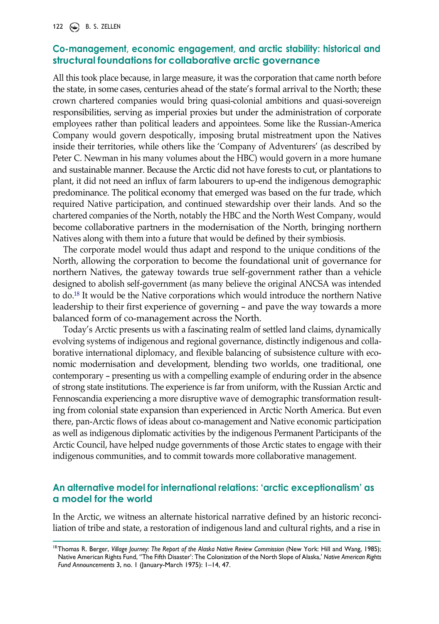# **Co-management, economic engagement, and arctic stability: historical and structural foundations for collaborative arctic governance**

 All this took place because, in large measure, it was the corporation that came north before the state, in some cases, centuries ahead of the state's formal arrival to the North; these Natives along with them into a future that would be defined by their symbiosis. crown chartered companies would bring quasi-colonial ambitions and quasi-sovereign responsibilities, serving as imperial proxies but under the administration of corporate employees rather than political leaders and appointees. Some like the Russian-America Company would govern despotically, imposing brutal mistreatment upon the Natives inside their territories, while others like the 'Company of Adventurers' (as described by Peter C. Newman in his many volumes about the HBC) would govern in a more humane and sustainable manner. Because the Arctic did not have forests to cut, or plantations to plant, it did not need an influx of farm labourers to up-end the indigenous demographic predominance. The political economy that emerged was based on the fur trade, which required Native participation, and continued stewardship over their lands. And so the chartered companies of the North, notably the HBC and the North West Company, would become collaborative partners in the modernisation of the North, bringing northern

The corporate model would thus adapt and respond to the unique conditions of the North, allowing the corporation to become the foundational unit of governance for northern Natives, the gateway towards true self-government rather than a vehicle designed to abolish self-government (as many believe the original ANCSA was intended to do.18 It would be the Native corporations which would introduce the northern Native leadership to their first experience of governing – and pave the way towards a more balanced form of co-management across the North.

 of strong state institutions. The experience is far from uniform, with the Russian Arctic and ing from colonial state expansion than experienced in Arctic North America. But even as well as indigenous diplomatic activities by the indigenous Permanent Participants of the Arctic Council, have helped nudge governments of those Arctic states to engage with their Today's Arctic presents us with a fascinating realm of settled land claims, dynamically evolving systems of indigenous and regional governance, distinctly indigenous and collaborative international diplomacy, and flexible balancing of subsistence culture with economic modernisation and development, blending two worlds, one traditional, one contemporary – presenting us with a compelling example of enduring order in the absence Fennoscandia experiencing a more disruptive wave of demographic transformation resultthere, pan-Arctic flows of ideas about co-management and Native economic participation indigenous communities, and to commit towards more collaborative management.

# **An alternative model for international relations: 'arctic exceptionalism' as a model for the world**

 In the Arctic, we witness an alternate historical narrative defined by an historic reconciliation of tribe and state, a restoration of indigenous land and cultural rights, and a rise in

<sup>&</sup>lt;sup>18</sup>Thomas R. Berger, Village Journey: The Report of the Alaska Native Review Commission (New York: Hill and Wang, 1985); Native American Rights Fund, ''The Fifth Disaster': The Colonization of the North Slope of Alaska,' *Native American Rights Fund Announcements* 3, no. 1 (January-March 1975): 1–14, 47.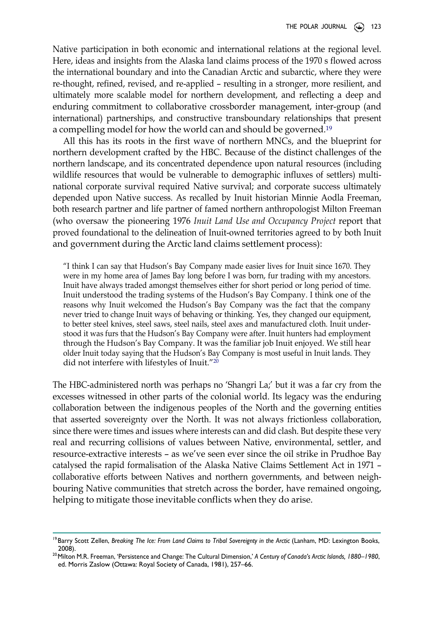the international boundary and into the Canadian Arctic and subarctic, where they were Native participation in both economic and international relations at the regional level. Here, ideas and insights from the Alaska land claims process of the 1970 s flowed across re-thought, refined, revised, and re-applied – resulting in a stronger, more resilient, and ultimately more scalable model for northern development, and reflecting a deep and enduring commitment to collaborative crossborder management, inter-group (and international) partnerships, and constructive transboundary relationships that present a compelling model for how the world can and should be [governed.19](https://governed.19) 

 northern development crafted by the HBC. Because of the distinct challenges of the  (who oversaw the pioneering 1976 *Inuit Land Use and Occupancy Project* report that All this has its roots in the first wave of northern MNCs, and the blueprint for northern landscape, and its concentrated dependence upon natural resources (including wildlife resources that would be vulnerable to demographic influxes of settlers) multinational corporate survival required Native survival; and corporate success ultimately depended upon Native success. As recalled by Inuit historian Minnie Aodla Freeman, both research partner and life partner of famed northern anthropologist Milton Freeman proved foundational to the delineation of Inuit-owned territories agreed to by both Inuit and government during the Arctic land claims settlement process):

 Inuit have always traded amongst themselves either for short period or long period of time. stood it was furs that the Hudson's Bay Company were after. Inuit hunters had employment "I think I can say that Hudson's Bay Company made easier lives for Inuit since 1670. They were in my home area of James Bay long before I was born, fur trading with my ancestors. Inuit understood the trading systems of the Hudson's Bay Company. I think one of the reasons why Inuit welcomed the Hudson's Bay Company was the fact that the company never tried to change Inuit ways of behaving or thinking. Yes, they changed our equipment, to better steel knives, steel saws, steel nails, steel axes and manufactured cloth. Inuit underthrough the Hudson's Bay Company. It was the familiar job Inuit enjoyed. We still hear older Inuit today saying that the Hudson's Bay Company is most useful in Inuit lands. They did not interfere with lifestyles of Inuit."20

The HBC-administered north was perhaps no 'Shangri La;' but it was a far cry from the excesses witnessed in other parts of the colonial world. Its legacy was the enduring collaboration between the indigenous peoples of the North and the governing entities that asserted sovereignty over the North. It was not always frictionless collaboration, since there were times and issues where interests can and did clash. But despite these very real and recurring collisions of values between Native, environmental, settler, and resource-extractive interests – as we've seen ever since the oil strike in Prudhoe Bay catalysed the rapid formalisation of the Alaska Native Claims Settlement Act in 1971 – collaborative efforts between Natives and northern governments, and between neighbouring Native communities that stretch across the border, have remained ongoing, helping to mitigate those inevitable conflicts when they do arise.

<sup>&</sup>lt;sup>19</sup> Barry Scott Zellen, *Breaking The Ice: From Land Claims to Tribal Sovereignty in the Arctic (Lanham, MD: Lexington Books,* 2008). 20.Milton M.R. Freeman, 'Persistence and Change: The Cultural Dimension,' *A Century of Canada's Arctic Islands, 1880–1980*,

 ed. Morris Zaslow (Ottawa: Royal Society of Canada, 1981), 257–66.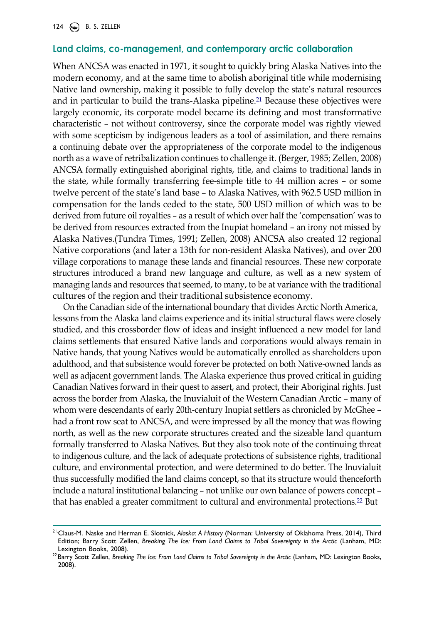## **Land claims, co-management, and contemporary arctic collaboration**

 modern economy, and at the same time to abolish aboriginal title while modernising with some scepticism by indigenous leaders as a tool of assimilation, and there remains When ANCSA was enacted in 1971, it sought to quickly bring Alaska Natives into the Native land ownership, making it possible to fully develop the state's natural resources and in particular to build the trans-Alaska pipeline.<sup>21</sup> Because these objectives were largely economic, its corporate model became its defining and most transformative characteristic – not without controversy, since the corporate model was rightly viewed a continuing debate over the appropriateness of the corporate model to the indigenous north as a wave of retribalization continues to challenge it. (Berger, 1985; Zellen, 2008) ANCSA formally extinguished aboriginal rights, title, and claims to traditional lands in the state, while formally transferring fee-simple title to 44 million acres – or some twelve percent of the state's land base – to Alaska Natives, with 962.5 USD million in compensation for the lands ceded to the state, 500 USD million of which was to be derived from future oil royalties – as a result of which over half the 'compensation' was to be derived from resources extracted from the Inupiat homeland – an irony not missed by Alaska Natives.(Tundra Times, 1991; Zellen, 2008) ANCSA also created 12 regional Native corporations (and later a 13th for non-resident Alaska Natives), and over 200 village corporations to manage these lands and financial resources. These new corporate structures introduced a brand new language and culture, as well as a new system of managing lands and resources that seemed, to many, to be at variance with the traditional cultures of the region and their traditional subsistence economy.

 Native hands, that young Natives would be automatically enrolled as shareholders upon north, as well as the new corporate structures created and the sizeable land quantum formally transferred to Alaska Natives. But they also took note of the continuing threat thus successfully modified the land claims concept, so that its structure would thenceforth On the Canadian side of the international boundary that divides Arctic North America, lessons from the Alaska land claims experience and its initial structural flaws were closely studied, and this crossborder flow of ideas and insight influenced a new model for land claims settlements that ensured Native lands and corporations would always remain in adulthood, and that subsistence would forever be protected on both Native-owned lands as well as adjacent government lands. The Alaska experience thus proved critical in guiding Canadian Natives forward in their quest to assert, and protect, their Aboriginal rights. Just across the border from Alaska, the Inuvialuit of the Western Canadian Arctic – many of whom were descendants of early 20th-century Inupiat settlers as chronicled by McGhee – had a front row seat to ANCSA, and were impressed by all the money that was flowing to indigenous culture, and the lack of adequate protections of subsistence rights, traditional culture, and environmental protection, and were determined to do better. The Inuvialuit include a natural institutional balancing – not unlike our own balance of powers concept – that has enabled a greater commitment to cultural and environmental [protections.22](https://protections.22) But

<sup>21.</sup>Claus-M. Naske and Herman E. Slotnick, *Alaska: A History* (Norman: University of Oklahoma Press, 2014), Third Edition; Barry Scott Zellen, *Breaking The Ice: From Land Claims to Tribal Sovereignty in the Arctic* (Lanham, MD:

Lexington Books, 2008).<br><sup>22</sup>Barry Scott Zellen, *Breaking The Ice: From Land Claims to Tribal Sovereignty in the Arctic (Lanham, MD: Lexington Books,* 2008).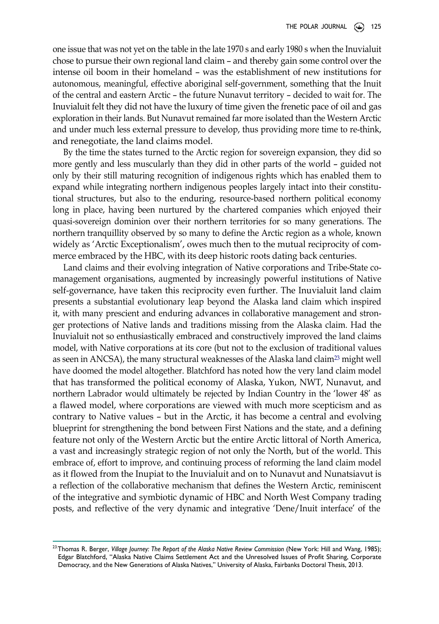chose to pursue their own regional land claim – and thereby gain some control over the exploration in their lands. But Nunavut remained far more isolated than the Western Arctic one issue that was not yet on the table in the late 1970 s and early 1980 s when the Inuvialuit intense oil boom in their homeland – was the establishment of new institutions for autonomous, meaningful, effective aboriginal self-government, something that the Inuit of the central and eastern Arctic – the future Nunavut territory – decided to wait for. The Inuvialuit felt they did not have the luxury of time given the frenetic pace of oil and gas and under much less external pressure to develop, thus providing more time to re-think, and renegotiate, the land claims model.

By the time the states turned to the Arctic region for sovereign expansion, they did so more gently and less muscularly than they did in other parts of the world – guided not only by their still maturing recognition of indigenous rights which has enabled them to expand while integrating northern indigenous peoples largely intact into their constitutional structures, but also to the enduring, resource-based northern political economy long in place, having been nurtured by the chartered companies which enjoyed their quasi-sovereign dominion over their northern territories for so many generations. The northern tranquillity observed by so many to define the Arctic region as a whole, known widely as 'Arctic Exceptionalism', owes much then to the mutual reciprocity of commerce embraced by the HBC, with its deep historic roots dating back centuries.

 feature not only of the Western Arctic but the entire Arctic littoral of North America, posts, and reflective of the very dynamic and integrative 'Dene/Inuit interface' of the Land claims and their evolving integration of Native corporations and Tribe-State comanagement organisations, augmented by increasingly powerful institutions of Native self-governance, have taken this reciprocity even further. The Inuvialuit land claim presents a substantial evolutionary leap beyond the Alaska land claim which inspired it, with many prescient and enduring advances in collaborative management and stronger protections of Native lands and traditions missing from the Alaska claim. Had the Inuvialuit not so enthusiastically embraced and constructively improved the land claims model, with Native corporations at its core (but not to the exclusion of traditional values as seen in ANCSA), the many structural weaknesses of the Alaska land claim<sup>23</sup> might well have doomed the model altogether. Blatchford has noted how the very land claim model that has transformed the political economy of Alaska, Yukon, NWT, Nunavut, and northern Labrador would ultimately be rejected by Indian Country in the 'lower 48' as a flawed model, where corporations are viewed with much more scepticism and as contrary to Native values – but in the Arctic, it has become a central and evolving blueprint for strengthening the bond between First Nations and the state, and a defining a vast and increasingly strategic region of not only the North, but of the world. This embrace of, effort to improve, and continuing process of reforming the land claim model as it flowed from the Inupiat to the Inuvialuit and on to Nunavut and Nunatsiavut is a reflection of the collaborative mechanism that defines the Western Arctic, reminiscent of the integrative and symbiotic dynamic of HBC and North West Company trading

<sup>&</sup>lt;sup>23.</sup>Thomas R. Berger, Village Journey: The Report of the Alaska Native Review Commission (New York: Hill and Wang, 1985); Edgar Blatchford, "Alaska Native Claims Settlement Act and the Unresolved Issues of Profit Sharing, Corporate Democracy, and the New Generations of Alaska Natives," University of Alaska, Fairbanks Doctoral Thesis, 2013.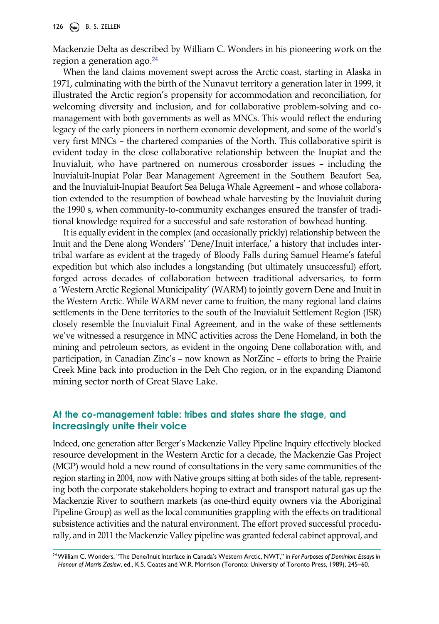Mackenzie Delta as described by William C. Wonders in his pioneering work on the region a generation ago.24

 Inuvialuit-Inupiat Polar Bear Management Agreement in the Southern Beaufort Sea, When the land claims movement swept across the Arctic coast, starting in Alaska in 1971, culminating with the birth of the Nunavut territory a generation later in 1999, it illustrated the Arctic region's propensity for accommodation and reconciliation, for welcoming diversity and inclusion, and for collaborative problem-solving and comanagement with both governments as well as MNCs. This would reflect the enduring legacy of the early pioneers in northern economic development, and some of the world's very first MNCs – the chartered companies of the North. This collaborative spirit is evident today in the close collaborative relationship between the Inupiat and the Inuvialuit, who have partnered on numerous crossborder issues – including the and the Inuvialuit-Inupiat Beaufort Sea Beluga Whale Agreement – and whose collaboration extended to the resumption of bowhead whale harvesting by the Inuvialuit during the 1990 s, when community-to-community exchanges ensured the transfer of traditional knowledge required for a successful and safe restoration of bowhead hunting.

 forged across decades of collaboration between traditional adversaries, to form It is equally evident in the complex (and occasionally prickly) relationship between the Inuit and the Dene along Wonders' 'Dene/Inuit interface,' a history that includes intertribal warfare as evident at the tragedy of Bloody Falls during Samuel Hearne's fateful expedition but which also includes a longstanding (but ultimately unsuccessful) effort, a 'Western Arctic Regional Municipality' (WARM) to jointly govern Dene and Inuit in the Western Arctic. While WARM never came to fruition, the many regional land claims settlements in the Dene territories to the south of the Inuvialuit Settlement Region (ISR) closely resemble the Inuvialuit Final Agreement, and in the wake of these settlements we've witnessed a resurgence in MNC activities across the Dene Homeland, in both the mining and petroleum sectors, as evident in the ongoing Dene collaboration with, and participation, in Canadian Zinc's – now known as NorZinc – efforts to bring the Prairie Creek Mine back into production in the Deh Cho region, or in the expanding Diamond mining sector north of Great Slave Lake.

## **At the co-management table: tribes and states share the stage, and increasingly unite their voice**

 region starting in 2004, now with Native groups sitting at both sides of the table, represent-Indeed, one generation after Berger's Mackenzie Valley Pipeline Inquiry effectively blocked resource development in the Western Arctic for a decade, the Mackenzie Gas Project (MGP) would hold a new round of consultations in the very same communities of the ing both the corporate stakeholders hoping to extract and transport natural gas up the Mackenzie River to southern markets (as one-third equity owners via the Aboriginal Pipeline Group) as well as the local communities grappling with the effects on traditional subsistence activities and the natural environment. The effort proved successful procedurally, and in 2011 the Mackenzie Valley pipeline was granted federal cabinet approval, and

 *Honour of Morris Zaslow*, ed., K.S. Coates and W.R. Morrison (Toronto: University of Toronto Press, 1989), 245–60. 24.William C. Wonders, "The Dene/Inuit Interface in Canada's Western Arctic, NWT," in *For Purposes of Dominion: Essays in*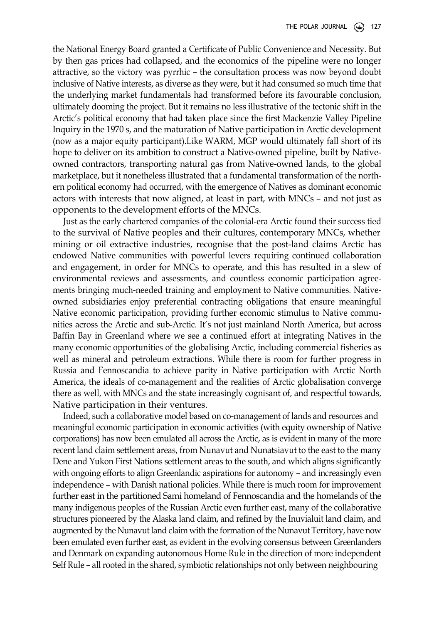inclusive of Native interests, as diverse as they were, but it had consumed so much time that ultimately dooming the project. But it remains no less illustrative of the tectonic shift in the hope to deliver on its ambition to construct a Native-owned pipeline, built by Native- marketplace, but it nonetheless illustrated that a fundamental transformation of the norththe National Energy Board granted a Certificate of Public Convenience and Necessity. But by then gas prices had collapsed, and the economics of the pipeline were no longer attractive, so the victory was pyrrhic – the consultation process was now beyond doubt the underlying market fundamentals had transformed before its favourable conclusion, Arctic's political economy that had taken place since the first Mackenzie Valley Pipeline Inquiry in the 1970 s, and the maturation of Native participation in Arctic development (now as a major equity participant).Like WARM, MGP would ultimately fall short of its owned contractors, transporting natural gas from Native-owned lands, to the global ern political economy had occurred, with the emergence of Natives as dominant economic actors with interests that now aligned, at least in part, with MNCs – and not just as opponents to the development efforts of the MNCs.

Just as the early chartered companies of the colonial-era Arctic found their success tied to the survival of Native peoples and their cultures, contemporary MNCs, whether mining or oil extractive industries, recognise that the post-land claims Arctic has endowed Native communities with powerful levers requiring continued collaboration and engagement, in order for MNCs to operate, and this has resulted in a slew of environmental reviews and assessments, and countless economic participation agreements bringing much-needed training and employment to Native communities. Nativeowned subsidiaries enjoy preferential contracting obligations that ensure meaningful Native economic participation, providing further economic stimulus to Native communities across the Arctic and sub-Arctic. It's not just mainland North America, but across Baffin Bay in Greenland where we see a continued effort at integrating Natives in the many economic opportunities of the globalising Arctic, including commercial fisheries as well as mineral and petroleum extractions. While there is room for further progress in Russia and Fennoscandia to achieve parity in Native participation with Arctic North America, the ideals of co-management and the realities of Arctic globalisation converge there as well, with MNCs and the state increasingly cognisant of, and respectful towards, Native participation in their ventures.

 meaningful economic participation in economic activities (with equity ownership of Native corporations) has now been emulated all across the Arctic, as is evident in many of the more with ongoing efforts to align Greenlandic aspirations for autonomy – and increasingly even further east in the partitioned Sami homeland of Fennoscandia and the homelands of the Indeed, such a collaborative model based on co-management of lands and resources and recent land claim settlement areas, from Nunavut and Nunatsiavut to the east to the many Dene and Yukon First Nations settlement areas to the south, and which aligns significantly independence – with Danish national policies. While there is much room for improvement many indigenous peoples of the Russian Arctic even further east, many of the collaborative structures pioneered by the Alaska land claim, and refined by the Inuvialuit land claim, and augmented by the Nunavut land claim with the formation of the Nunavut Territory, have now been emulated even further east, as evident in the evolving consensus between Greenlanders and Denmark on expanding autonomous Home Rule in the direction of more independent Self Rule – all rooted in the shared, symbiotic relationships not only between neighbouring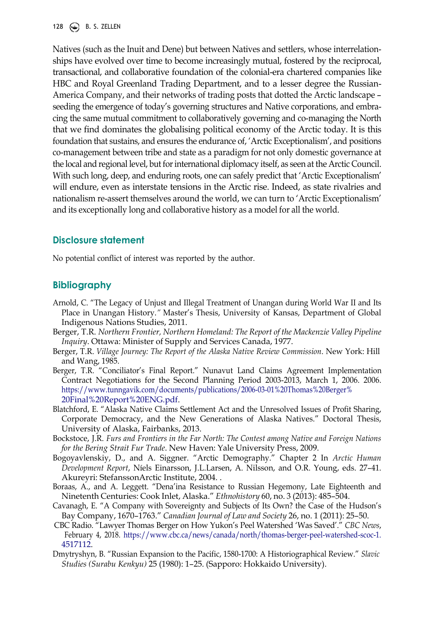128 **a** B. S. ZELLEN

 seeding the emergence of today's governing structures and Native corporations, and embra- co-management between tribe and state as a paradigm for not only domestic governance at Natives (such as the Inuit and Dene) but between Natives and settlers, whose interrelationships have evolved over time to become increasingly mutual, fostered by the reciprocal, transactional, and collaborative foundation of the colonial-era chartered companies like HBC and Royal Greenland Trading Department, and to a lesser degree the Russian-America Company, and their networks of trading posts that dotted the Arctic landscape – cing the same mutual commitment to collaboratively governing and co-managing the North that we find dominates the globalising political economy of the Arctic today. It is this foundation that sustains, and ensures the endurance of, 'Arctic Exceptionalism', and positions the local and regional level, but for international diplomacy itself, as seen at the Arctic Council. With such long, deep, and enduring roots, one can safely predict that 'Arctic Exceptionalism' will endure, even as interstate tensions in the Arctic rise. Indeed, as state rivalries and nationalism re-assert themselves around the world, we can turn to 'Arctic Exceptionalism' and its exceptionally long and collaborative history as a model for all the world.

# **Disclosure statement**

No potential conflict of interest was reported by the author.

# **Bibliography**

- Arnold, C. "The Legacy of Unjust and Illegal Treatment of Unangan during World War II and Its Place in Unangan History.*"* Master's Thesis, University of Kansas, Department of Global Indigenous Nations Studies, 2011.
- Berger, T.R. *Northern Frontier, Northern Homeland: The Report of the Mackenzie Valley Pipeline Inquiry*. Ottawa: Minister of Supply and Services Canada, 1977.
- Berger, T.R. *Village Journey: The Report of the Alaska Native Review Commission*. New York: Hill and Wang, 1985.
- Berger, T.R. "Conciliator's Final Report." Nunavut Land Claims Agreement Implementation Contract Negotiations for the Second Planning Period 2003-2013, March 1, 2006. 2006. [https://www.tunngavik.com/documents/publications/2006-03-01%20Thomas%20Berger%](https://www.tunngavik.com/documents/publications/2006-03-01%20Thomas%20Berger) 20Final%20Report%20ENG.pdf.
- Blatchford, E. "Alaska Native Claims Settlement Act and the Unresolved Issues of Profit Sharing, Corporate Democracy, and the New Generations of Alaska Natives." Doctoral Thesis, University of Alaska, Fairbanks, 2013.
- Bockstoce, J.R. Furs and Frontiers in the Far North: The Contest among Native and Foreign Nations  *for the Bering Strait Fur Trade*. New Haven: Yale University Press, 2009.
- Bogoyavlenskiy, D., and A. Siggner. "Arctic Demography." Chapter 2 In *Arctic Human Development Report*, Níels Einarsson, J.L.Larsen, A. Nilsson, and O.R. Young, eds. 27–41. Akureyri: StefanssonArctic Institute, 2004. .
- Boraas, A., and A. Leggett. "Dena'ina Resistance to Russian Hegemony, Late Eighteenth and Ninetenth Centuries: Cook Inlet, Alaska." *Ethnohistory* 60, no. 3 (2013): 485–504.
- Bay Company, 1670–1763." *Canadian Journal of Law and Society* 26, no. 1 (2011): 25–50. Cavanagh, E. "A Company with Sovereignty and Subjects of Its Own? the Case of the Hudson's
- CBC Radio. "Lawyer Thomas Berger on How Yukon's Peel Watershed 'Was Saved'." *CBC News*, February 4, 2018. <https://www.cbc.ca/news/canada/north/thomas-berger-peel-watershed-scoc-1>. 4517112.
- *Studies (Surabu Kenkyu)* 25 (1980): 1–25. (Sapporo: Hokkaido University). Dmytryshyn, B. "Russian Expansion to the Pacific, 1580-1700: A Historiographical Review." *Slavic*